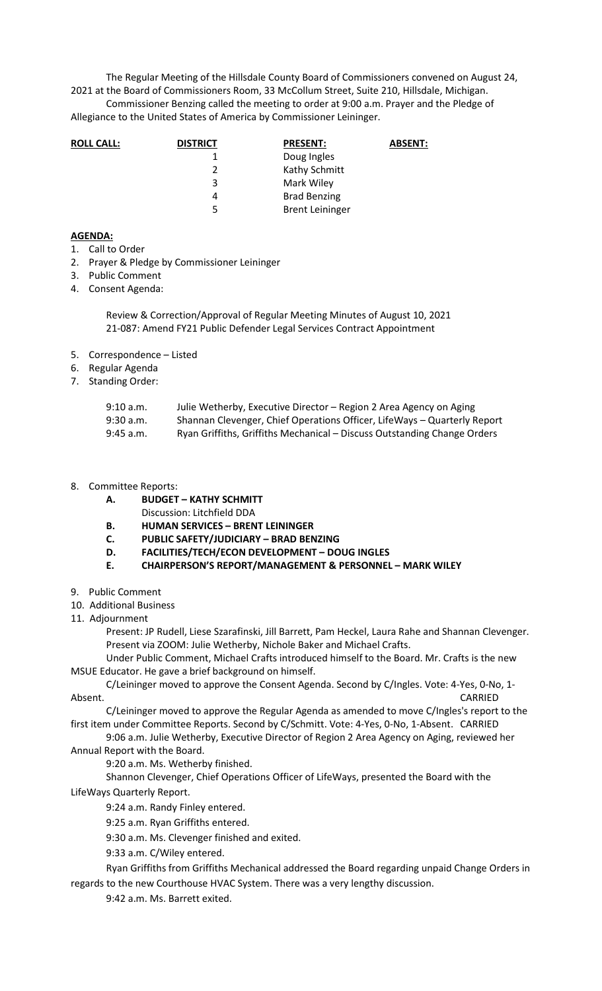The Regular Meeting of the Hillsdale County Board of Commissioners convened on August 24, 2021 at the Board of Commissioners Room, 33 McCollum Street, Suite 210, Hillsdale, Michigan.

Commissioner Benzing called the meeting to order at 9:00 a.m. Prayer and the Pledge of Allegiance to the United States of America by Commissioner Leininger.

| <b>ROLL CALL:</b> | <b>DISTRICT</b> | <b>PRESENT:</b>        | <b>ABSENT:</b> |
|-------------------|-----------------|------------------------|----------------|
|                   |                 | Doug Ingles            |                |
|                   |                 | Kathy Schmitt          |                |
|                   | 3               | Mark Wiley             |                |
|                   | 4               | <b>Brad Benzing</b>    |                |
|                   | 5               | <b>Brent Leininger</b> |                |

## **AGENDA:**

- 1. Call to Order
- 2. Prayer & Pledge by Commissioner Leininger
- 3. Public Comment
- 4. Consent Agenda:

Review & Correction/Approval of Regular Meeting Minutes of August 10, 2021 21-087: Amend FY21 Public Defender Legal Services Contract Appointment

- 5. Correspondence Listed
- 6. Regular Agenda
- 7. Standing Order:

| 9:10 a.m. | Julie Wetherby, Executive Director – Region 2 Area Agency on Aging       |
|-----------|--------------------------------------------------------------------------|
| 9:30 a.m. | Shannan Clevenger, Chief Operations Officer, LifeWays - Quarterly Report |
| 9:45 a.m. | Ryan Griffiths, Griffiths Mechanical - Discuss Outstanding Change Orders |

- 8. Committee Reports:
	- **A. BUDGET KATHY SCHMITT** 
		- Discussion: Litchfield DDA
	- **B. HUMAN SERVICES BRENT LEININGER**
	- **C. PUBLIC SAFETY/JUDICIARY BRAD BENZING**
	- **D. FACILITIES/TECH/ECON DEVELOPMENT DOUG INGLES**
	- **E. CHAIRPERSON'S REPORT/MANAGEMENT & PERSONNEL MARK WILEY**
- 9. Public Comment
- 10. Additional Business
- 11. Adjournment

Present: JP Rudell, Liese Szarafinski, Jill Barrett, Pam Heckel, Laura Rahe and Shannan Clevenger. Present via ZOOM: Julie Wetherby, Nichole Baker and Michael Crafts.

Under Public Comment, Michael Crafts introduced himself to the Board. Mr. Crafts is the new MSUE Educator. He gave a brief background on himself.

C/Leininger moved to approve the Consent Agenda. Second by C/Ingles. Vote: 4-Yes, 0-No, 1- Absent. CARRIED

C/Leininger moved to approve the Regular Agenda as amended to move C/Ingles's report to the first item under Committee Reports. Second by C/Schmitt. Vote: 4-Yes, 0-No, 1-Absent. CARRIED

9:06 a.m. Julie Wetherby, Executive Director of Region 2 Area Agency on Aging, reviewed her Annual Report with the Board.

9:20 a.m. Ms. Wetherby finished.

Shannon Clevenger, Chief Operations Officer of LifeWays, presented the Board with the LifeWays Quarterly Report.

9:24 a.m. Randy Finley entered.

9:25 a.m. Ryan Griffiths entered.

9:30 a.m. Ms. Clevenger finished and exited.

9:33 a.m. C/Wiley entered.

Ryan Griffiths from Griffiths Mechanical addressed the Board regarding unpaid Change Orders in regards to the new Courthouse HVAC System. There was a very lengthy discussion.

9:42 a.m. Ms. Barrett exited.